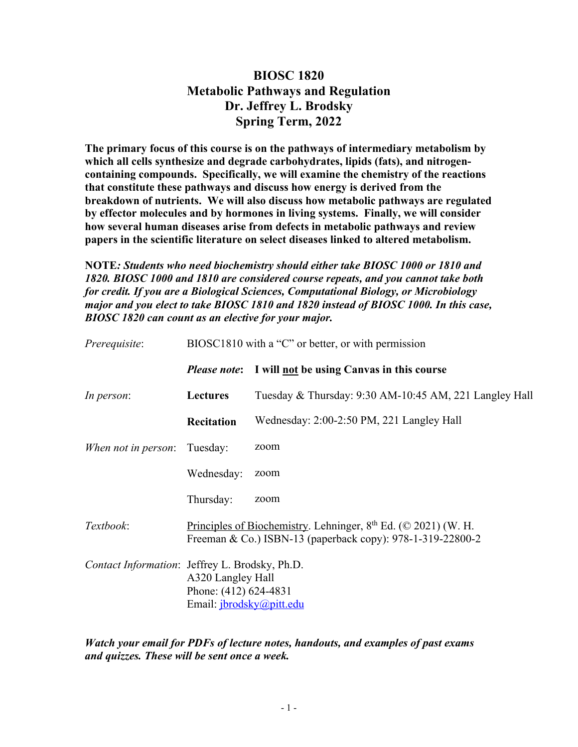## **BIOSC 1820 Metabolic Pathways and Regulation Dr. Jeffrey L. Brodsky Spring Term, 2022**

**The primary focus of this course is on the pathways of intermediary metabolism by which all cells synthesize and degrade carbohydrates, lipids (fats), and nitrogencontaining compounds. Specifically, we will examine the chemistry of the reactions that constitute these pathways and discuss how energy is derived from the breakdown of nutrients. We will also discuss how metabolic pathways are regulated by effector molecules and by hormones in living systems. Finally, we will consider how several human diseases arise from defects in metabolic pathways and review papers in the scientific literature on select diseases linked to altered metabolism.**

**NOTE***: Students who need biochemistry should either take BIOSC 1000 or 1810 and 1820. BIOSC 1000 and 1810 are considered course repeats, and you cannot take both for credit. If you are a Biological Sciences, Computational Biology, or Microbiology major and you elect to take BIOSC 1810 and 1820 instead of BIOSC 1000. In this case, BIOSC 1820 can count as an elective for your major.* 

| Prerequisite:       | BIOSC1810 with a "C" or better, or with permission                                                                                    |                                                        |  |
|---------------------|---------------------------------------------------------------------------------------------------------------------------------------|--------------------------------------------------------|--|
|                     | <b>Please note:</b>                                                                                                                   | I will not be using Canvas in this course              |  |
| In person:          | <b>Lectures</b>                                                                                                                       | Tuesday & Thursday: 9:30 AM-10:45 AM, 221 Langley Hall |  |
|                     | Recitation                                                                                                                            | Wednesday: 2:00-2:50 PM, 221 Langley Hall              |  |
| When not in person: | Tuesday:                                                                                                                              | zoom                                                   |  |
|                     | Wednesday:                                                                                                                            | zoom                                                   |  |
|                     | Thursday:                                                                                                                             | zoom                                                   |  |
| Textbook:           | Principles of Biochemistry. Lehninger, $8th$ Ed. ( $\odot$ 2021) (W. H.<br>Freeman & Co.) ISBN-13 (paperback copy): 978-1-319-22800-2 |                                                        |  |
|                     | Contact Information: Jeffrey L. Brodsky, Ph.D.<br>A320 Langley Hall<br>Phone: (412) 624-4831<br>Email: jbrodsky@pitt.edu              |                                                        |  |

*Watch your email for PDFs of lecture notes, handouts, and examples of past exams and quizzes. These will be sent once a week.*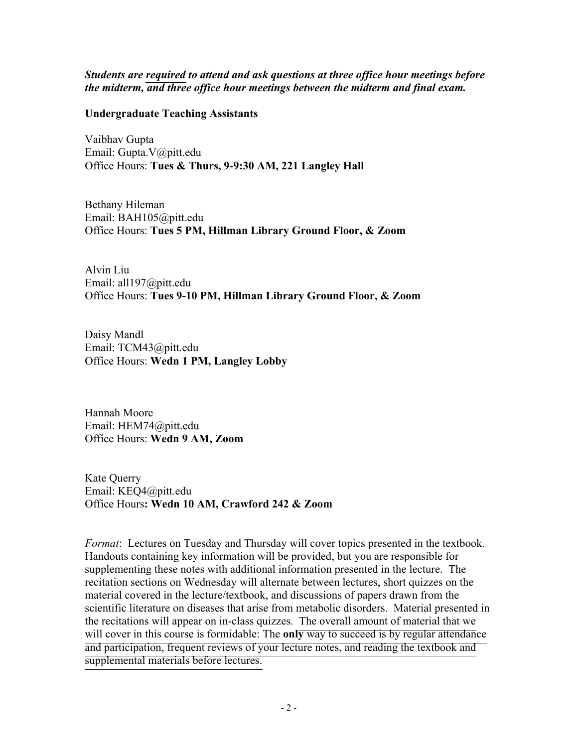*Students are required to attend and ask questions at three office hour meetings before the midterm, and three office hour meetings between the midterm and final exam.* 

## **Undergraduate Teaching Assistants**

Vaibhav Gupta Email: Gupta.V@pitt.edu Office Hours: **Tues & Thurs, 9-9:30 AM, 221 Langley Hall** 

Bethany Hileman Email: BAH105@pitt.edu Office Hours: **Tues 5 PM, Hillman Library Ground Floor, & Zoom**

Alvin Liu Email: all197@pitt.edu Office Hours: **Tues 9-10 PM, Hillman Library Ground Floor, & Zoom** 

Daisy Mandl Email: TCM43@pitt.edu Office Hours: **Wedn 1 PM, Langley Lobby**

Hannah Moore Email: HEM74@pitt.edu Office Hours: **Wedn 9 AM, Zoom** 

Kate Querry Email: KEQ4@pitt.edu Office Hours**: Wedn 10 AM, Crawford 242 & Zoom** 

*Format*: Lectures on Tuesday and Thursday will cover topics presented in the textbook. Handouts containing key information will be provided, but you are responsible for supplementing these notes with additional information presented in the lecture. The recitation sections on Wednesday will alternate between lectures, short quizzes on the material covered in the lecture/textbook, and discussions of papers drawn from the scientific literature on diseases that arise from metabolic disorders. Material presented in the recitations will appear on in-class quizzes. The overall amount of material that we will cover in this course is formidable: The **only** way to succeed is by regular attendance and participation, frequent reviews of your lecture notes, and reading the textbook and supplemental materials before lectures.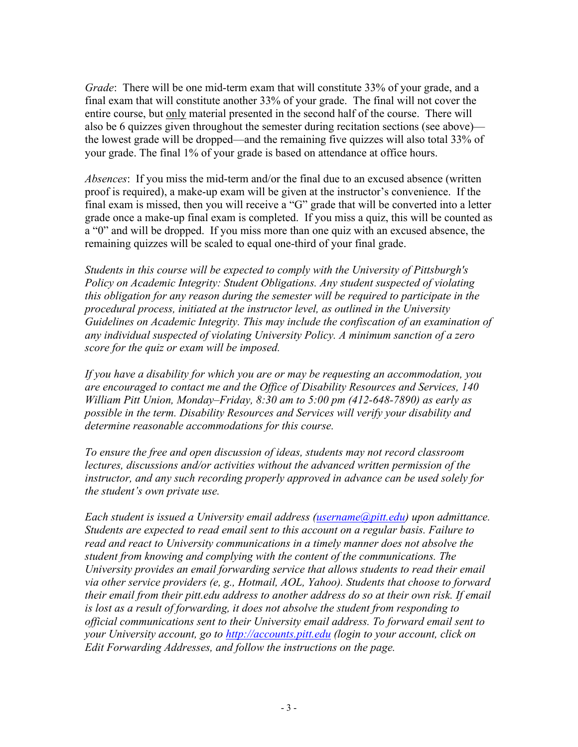*Grade*: There will be one mid-term exam that will constitute 33% of your grade, and a final exam that will constitute another 33% of your grade. The final will not cover the entire course, but only material presented in the second half of the course. There will also be 6 quizzes given throughout the semester during recitation sections (see above) the lowest grade will be dropped—and the remaining five quizzes will also total 33% of your grade. The final 1% of your grade is based on attendance at office hours.

*Absences*: If you miss the mid-term and/or the final due to an excused absence (written proof is required), a make-up exam will be given at the instructor's convenience. If the final exam is missed, then you will receive a "G" grade that will be converted into a letter grade once a make-up final exam is completed. If you miss a quiz, this will be counted as a "0" and will be dropped. If you miss more than one quiz with an excused absence, the remaining quizzes will be scaled to equal one-third of your final grade.

*Students in this course will be expected to comply with the University of Pittsburgh's Policy on Academic Integrity: Student Obligations. Any student suspected of violating this obligation for any reason during the semester will be required to participate in the procedural process, initiated at the instructor level, as outlined in the University Guidelines on Academic Integrity. This may include the confiscation of an examination of any individual suspected of violating University Policy. A minimum sanction of a zero score for the quiz or exam will be imposed.* 

*If you have a disability for which you are or may be requesting an accommodation, you are encouraged to contact me and the Office of Disability Resources and Services, 140 William Pitt Union, Monday–Friday, 8:30 am to 5:00 pm (412-648-7890) as early as possible in the term. Disability Resources and Services will verify your disability and determine reasonable accommodations for this course.*

*To ensure the free and open discussion of ideas, students may not record classroom lectures, discussions and/or activities without the advanced written permission of the instructor, and any such recording properly approved in advance can be used solely for the student's own private use.*

*Each student is issued a University email address (username@pitt.edu) upon admittance. Students are expected to read email sent to this account on a regular basis. Failure to read and react to University communications in a timely manner does not absolve the student from knowing and complying with the content of the communications. The University provides an email forwarding service that allows students to read their email via other service providers (e, g., Hotmail, AOL, Yahoo). Students that choose to forward their email from their pitt.edu address to another address do so at their own risk. If email is lost as a result of forwarding, it does not absolve the student from responding to official communications sent to their University email address. To forward email sent to your University account, go to http://accounts.pitt.edu (login to your account, click on Edit Forwarding Addresses, and follow the instructions on the page.*